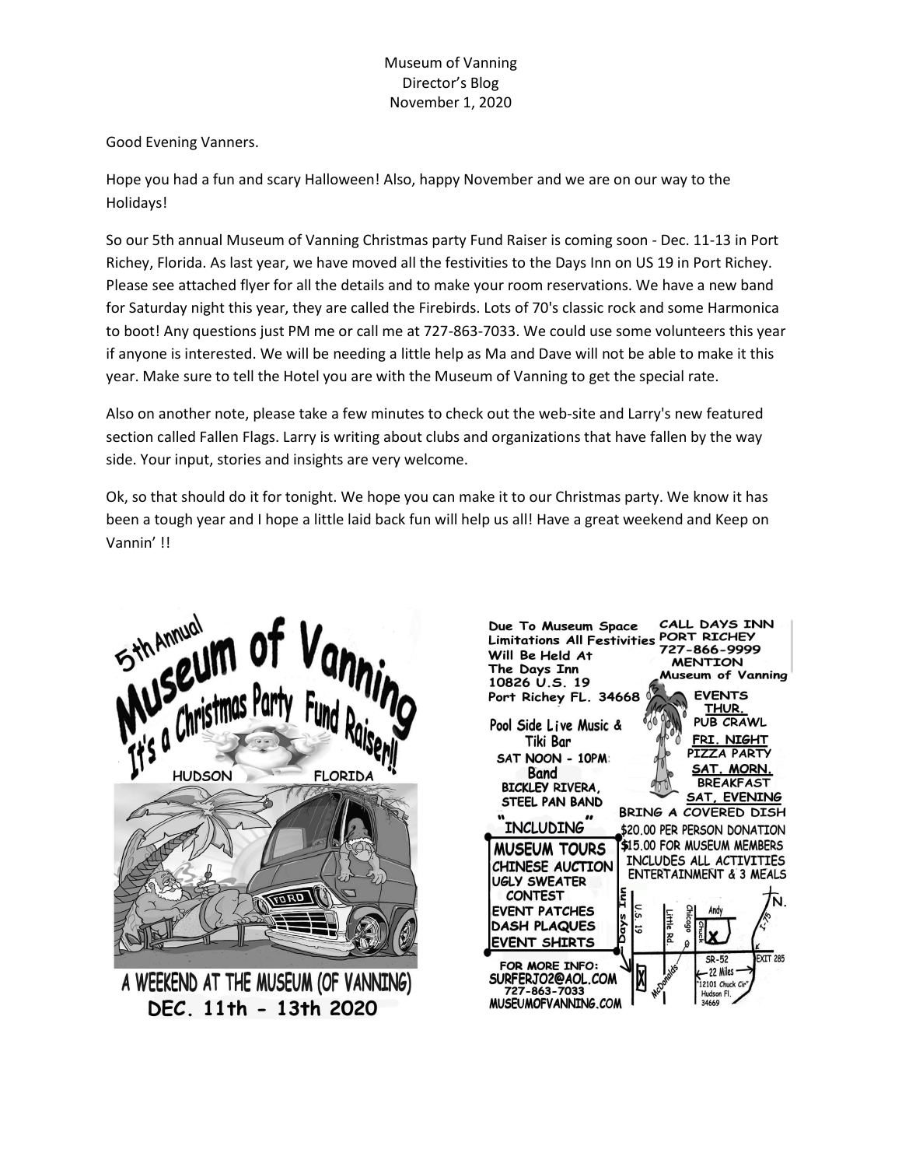## Museum of Vanning Director's Blog November 1, 2020

Good Evening Vanners.

Hope you had a fun and scary Halloween! Also, happy November and we are on our way to the Holidays!

So our 5th annual Museum of Vanning Christmas party Fund Raiser is coming soon - Dec. 11-13 in Port Richey, Florida. As last year, we have moved all the festivities to the Days Inn on US 19 in Port Richey. Please see attached flyer for all the details and to make your room reservations. We have a new band for Saturday night this year, they are called the Firebirds. Lots of 70's classic rock and some Harmonica to boot! Any questions just PM me or call me at 727-863-7033. We could use some volunteers this year if anyone is interested. We will be needing a little help as Ma and Dave will not be able to make it this year. Make sure to tell the Hotel you are with the Museum of Vanning to get the special rate.

Also on another note, please take a few minutes to check out the web-site and Larry's new featured section called Fallen Flags. Larry is writing about clubs and organizations that have fallen by the way side. Your input, stories and insights are very welcome.

Ok, so that should do it for tonight. We hope you can make it to our Christmas party. We know it has been a tough year and I hope a little laid back fun will help us all! Have a great weekend and Keep on Vannin' !!